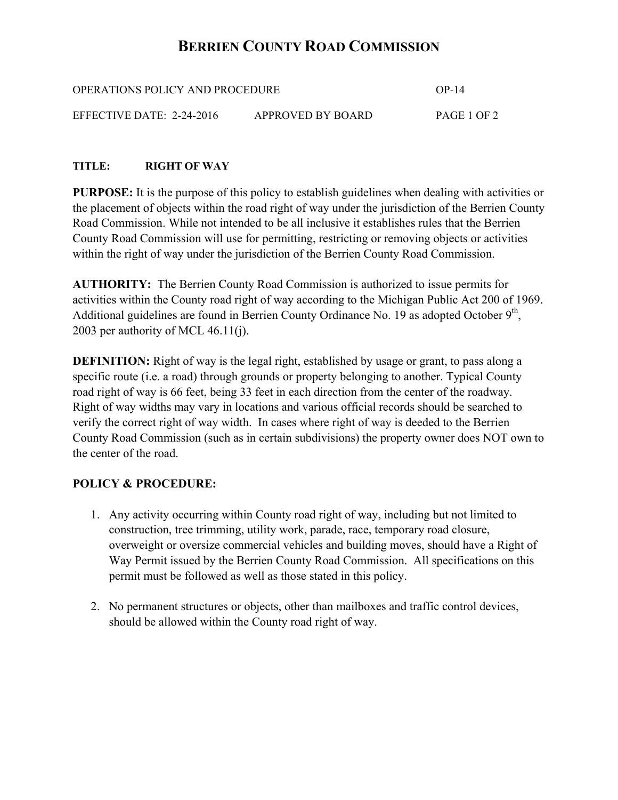# **BERRIEN COUNTY ROAD COMMISSION**

| OPERATIONS POLICY AND PROCEDURE |                   | $OP-14$     |
|---------------------------------|-------------------|-------------|
| EFFECTIVE DATE: $2-24-2016$     | APPROVED BY BOARD | PAGE 1 OF 2 |

### **TITLE: RIGHT OF WAY**

**PURPOSE:** It is the purpose of this policy to establish guidelines when dealing with activities or the placement of objects within the road right of way under the jurisdiction of the Berrien County Road Commission. While not intended to be all inclusive it establishes rules that the Berrien County Road Commission will use for permitting, restricting or removing objects or activities within the right of way under the jurisdiction of the Berrien County Road Commission.

**AUTHORITY:** The Berrien County Road Commission is authorized to issue permits for activities within the County road right of way according to the Michigan Public Act 200 of 1969. Additional guidelines are found in Berrien County Ordinance No. 19 as adopted October  $9<sup>th</sup>$ , 2003 per authority of MCL 46.11(j).

**DEFINITION:** Right of way is the legal right, established by usage or grant, to pass along a specific route (i.e. a road) through grounds or property belonging to another. Typical County road right of way is 66 feet, being 33 feet in each direction from the center of the roadway. Right of way widths may vary in locations and various official records should be searched to verify the correct right of way width. In cases where right of way is deeded to the Berrien County Road Commission (such as in certain subdivisions) the property owner does NOT own to the center of the road.

### **POLICY & PROCEDURE:**

- 1. Any activity occurring within County road right of way, including but not limited to construction, tree trimming, utility work, parade, race, temporary road closure, overweight or oversize commercial vehicles and building moves, should have a Right of Way Permit issued by the Berrien County Road Commission. All specifications on this permit must be followed as well as those stated in this policy.
- 2. No permanent structures or objects, other than mailboxes and traffic control devices, should be allowed within the County road right of way.